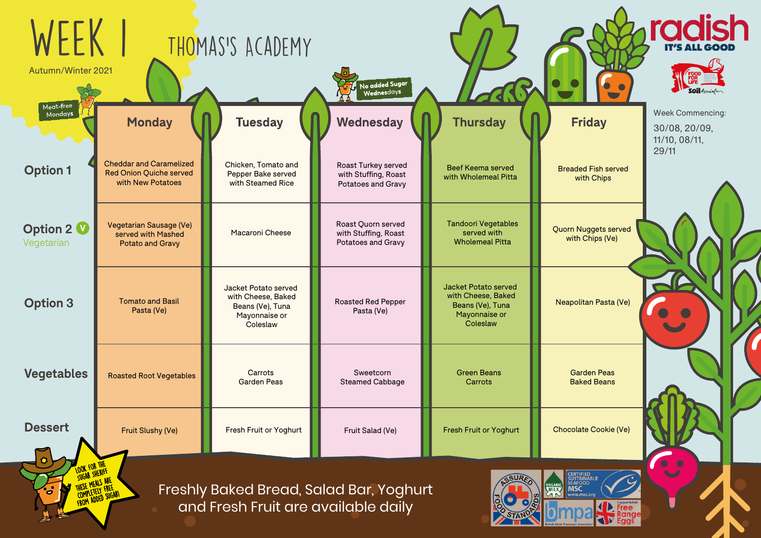Freshly Baked Bread, Salad Bar, Yoghurt and Fresh Fruit are available daily

FROM ADDED SUGAR!

| WFFK<br>Autumn/Winter 2021<br>Meat-free                                                                                                      |                                                                                       | THOMAS'S ACADEMY                                                                                   | No added Sugar<br>Wednesdays                                                    |                                                                                                    |                                                  |  |  |
|----------------------------------------------------------------------------------------------------------------------------------------------|---------------------------------------------------------------------------------------|----------------------------------------------------------------------------------------------------|---------------------------------------------------------------------------------|----------------------------------------------------------------------------------------------------|--------------------------------------------------|--|--|
| Mondays                                                                                                                                      | <b>Monday</b>                                                                         | <b>Tuesday</b>                                                                                     | Wednesday                                                                       | <b>Thursday</b>                                                                                    | <b>Friday</b>                                    |  |  |
| <b>Option 1</b>                                                                                                                              | <b>Cheddar and Caramelized</b><br><b>Red Onion Quiche served</b><br>with New Potatoes | Chicken, Tomato and<br>Pepper Bake served<br>with Steamed Rice                                     | <b>Roast Turkey served</b><br>with Stuffing, Roast<br><b>Potatoes and Gravy</b> | <b>Beef Keema served</b><br>with Wholemeal Pitta                                                   | <b>Breaded Fish se</b><br>with Chips             |  |  |
| <b>Option 2 V</b><br>Vegetarian                                                                                                              | <b>Vegetarian Sausage (Ve)</b><br>served with Mashed<br><b>Potato and Gravy</b>       | <b>Macaroni Cheese</b>                                                                             | Roast Quorn served<br>with Stuffing, Roast<br><b>Potatoes and Gravy</b>         | <b>Tandoori Vegetables</b><br>served with<br><b>Wholemeal Pitta</b>                                | <b>Quorn Nuggets se</b><br><b>with Chips (Ve</b> |  |  |
| <b>Option 3</b>                                                                                                                              | <b>Tomato and Basil</b><br>Pasta (Ve)                                                 | <b>Jacket Potato served</b><br>with Cheese, Baked<br>Beans (Ve), Tuna<br>Mayonnaise or<br>Coleslaw | <b>Roasted Red Pepper</b><br>Pasta (Ve)                                         | <b>Jacket Potato served</b><br>with Cheese, Baked<br>Beans (Ve), Tuna<br>Mayonnaise or<br>Coleslaw | <b>Neapolitan Pasta</b>                          |  |  |
| <b>Vegetables</b>                                                                                                                            | <b>Roasted Root Vegetables</b>                                                        | Carrots<br><b>Garden Peas</b>                                                                      | Sweetcorn<br><b>Steamed Cabbage</b>                                             | <b>Green Beans</b><br>Carrots                                                                      | <b>Garden Peas</b><br><b>Baked Beans</b>         |  |  |
| <b>Dessert</b>                                                                                                                               | Fruit Slushy (Ve)                                                                     | <b>Fresh Fruit or Yoghurt</b>                                                                      | Fruit Salad (Ve)                                                                | <b>Fresh Fruit or Yoghurt</b>                                                                      | <b>Chocolate Cookie</b>                          |  |  |
| OOK FOR<br>CERTIFIED<br>SUSTAINABLE<br>SEAFOOD<br>YESE MEALS ARE<br>ORGANIC<br>Freshly Baked Bread, Salad Bar, Yoghurt<br>MSC<br>www.msc.org |                                                                                       |                                                                                                    |                                                                                 |                                                                                                    |                                                  |  |  |

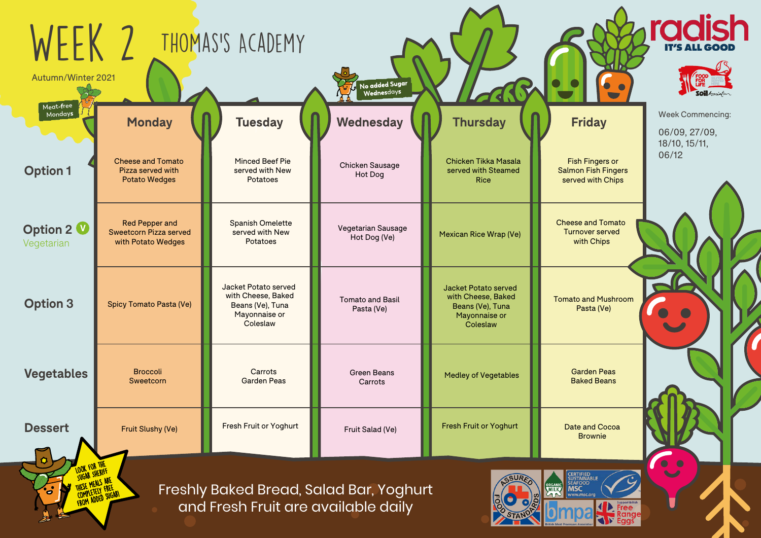| $N$ $\vdash$ $\vdash$ $K$<br>Autumn/Winter 2021 |                                                                              | THOMAS'S ACADEMY                                                                                   | No added Sugar                          |                                                                                             |                                                                                                    |
|-------------------------------------------------|------------------------------------------------------------------------------|----------------------------------------------------------------------------------------------------|-----------------------------------------|---------------------------------------------------------------------------------------------|----------------------------------------------------------------------------------------------------|
| Meat-free<br>Mondays                            | <b>Monday</b>                                                                | <b>Tuesday</b>                                                                                     | Wednesdays<br>Wednesday                 | <b>Thursday</b>                                                                             | <b>Friday</b>                                                                                      |
| <b>Option 1</b>                                 | <b>Cheese and Tomato</b><br>Pizza served with<br><b>Potato Wedges</b>        | <b>Minced Beef Pie</b><br>served with New<br><b>Potatoes</b>                                       | <b>Chicken Sausage</b><br>Hot Dog       | <b>Chicken Tikka Masala</b><br>served with Steamed<br><b>Rice</b>                           | <b>Fish Fingers or</b><br><b>Salmon Fish Fingers</b><br>served with Chips                          |
| <b>Option 2 V</b><br>Vegetarian                 | <b>Red Pepper and</b><br><b>Sweetcorn Pizza served</b><br>with Potato Wedges | <b>Spanish Omelette</b><br>served with New<br><b>Potatoes</b>                                      | Vegetarian Sausage<br>Hot Dog (Ve)      | Mexican Rice Wrap (Ve)                                                                      | <b>Cheese and Tomato</b><br><b>Turnover served</b><br>with Chips                                   |
| <b>Option 3</b>                                 | Spicy Tomato Pasta (Ve)                                                      | <b>Jacket Potato served</b><br>with Cheese, Baked<br>Beans (Ve), Tuna<br>Mayonnaise or<br>Coleslaw | <b>Tomato and Basil</b><br>Pasta (Ve)   | Jacket Potato served<br>with Cheese, Baked<br>Beans (Ve), Tuna<br>Mayonnaise or<br>Coleslaw | <b>Tomato and Mushroom</b><br>Pasta (Ve)                                                           |
| <b>Vegetables</b>                               | <b>Broccoli</b><br>Sweetcorn                                                 | Carrots<br><b>Garden Peas</b>                                                                      | <b>Green Beans</b><br>Carrots           | <b>Medley of Vegetables</b>                                                                 | <b>Garden Peas</b><br><b>Baked Beans</b>                                                           |
| <b>Dessert</b>                                  | Fruit Slushy (Ve)                                                            | <b>Fresh Fruit or Yoghurt</b>                                                                      | Fruit Salad (Ve)                        | <b>Fresh Fruit or Yoghurt</b>                                                               | Date and Cocoa<br><b>Brownie</b>                                                                   |
|                                                 | - MEALS ARE<br>JOM ADDED SUGARI                                              | and Fresh Fruit are available daily                                                                | Freshly Baked Bread, Salad Bar, Yoghurt |                                                                                             | CERTIFIED<br>SUSTAINABLE<br>SEAFOOD<br><b>DRGANIO</b><br><b>MSC</b><br>MILK<br>www.msc.org<br>Free |







## Friday

 $\blacktriangle$ 

Week Commencing:

06/09, 27/09, 18/10, 15/11, 06/12



 $\bullet$   $\bullet$